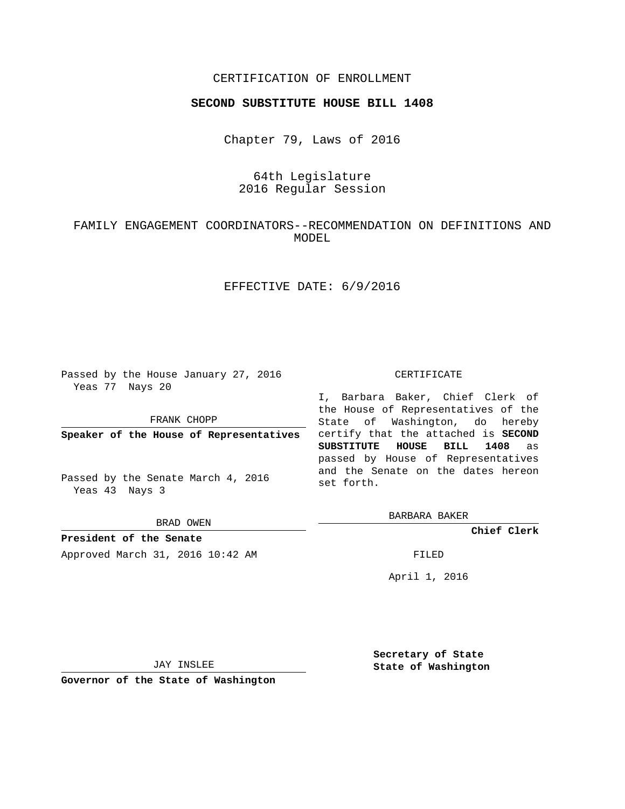## CERTIFICATION OF ENROLLMENT

### **SECOND SUBSTITUTE HOUSE BILL 1408**

Chapter 79, Laws of 2016

# 64th Legislature 2016 Regular Session

# FAMILY ENGAGEMENT COORDINATORS--RECOMMENDATION ON DEFINITIONS AND MODEL

## EFFECTIVE DATE: 6/9/2016

Passed by the House January 27, 2016 Yeas 77 Nays 20

FRANK CHOPP

**Speaker of the House of Representatives**

Passed by the Senate March 4, 2016 Yeas 43 Nays 3

BRAD OWEN

**President of the Senate** Approved March 31, 2016 10:42 AM FILED

#### CERTIFICATE

I, Barbara Baker, Chief Clerk of the House of Representatives of the State of Washington, do hereby certify that the attached is **SECOND SUBSTITUTE HOUSE BILL 1408** as passed by House of Representatives and the Senate on the dates hereon set forth.

BARBARA BAKER

**Chief Clerk**

April 1, 2016

JAY INSLEE

**Governor of the State of Washington**

**Secretary of State State of Washington**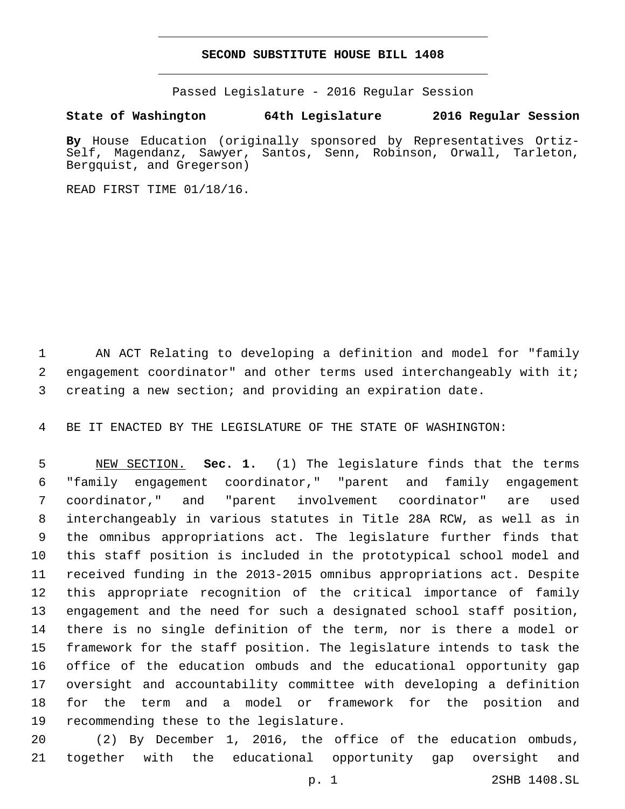#### **SECOND SUBSTITUTE HOUSE BILL 1408**

Passed Legislature - 2016 Regular Session

**State of Washington 64th Legislature 2016 Regular Session**

**By** House Education (originally sponsored by Representatives Ortiz-Self, Magendanz, Sawyer, Santos, Senn, Robinson, Orwall, Tarleton, Bergquist, and Gregerson)

READ FIRST TIME 01/18/16.

 AN ACT Relating to developing a definition and model for "family engagement coordinator" and other terms used interchangeably with it; creating a new section; and providing an expiration date.

BE IT ENACTED BY THE LEGISLATURE OF THE STATE OF WASHINGTON:

 NEW SECTION. **Sec. 1.** (1) The legislature finds that the terms "family engagement coordinator," "parent and family engagement coordinator," and "parent involvement coordinator" are used interchangeably in various statutes in Title 28A RCW, as well as in the omnibus appropriations act. The legislature further finds that this staff position is included in the prototypical school model and received funding in the 2013-2015 omnibus appropriations act. Despite this appropriate recognition of the critical importance of family engagement and the need for such a designated school staff position, there is no single definition of the term, nor is there a model or framework for the staff position. The legislature intends to task the office of the education ombuds and the educational opportunity gap oversight and accountability committee with developing a definition for the term and a model or framework for the position and 19 recommending these to the legislature.

 (2) By December 1, 2016, the office of the education ombuds, together with the educational opportunity gap oversight and